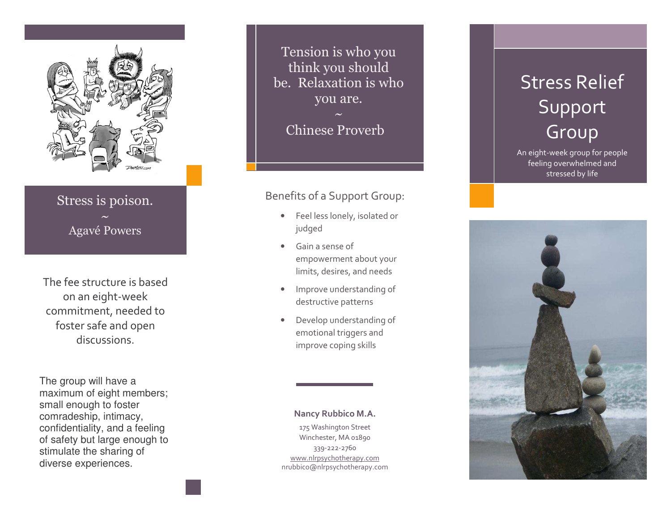

## Stress is poison. **Agavé Powers**

The fee structure is based on an eight-week commitment, needed to foster safe and open discussions.

The group will have a maximum of eight members; small enough to foster comradeship, intimacy, confidentiality, and a feeling of safety but large enough to stimulate the sharing of diverse experiences.

Tension is who you think you should be. Relaxation is who you are.

**Chinese Proverb** 

## Benefits of a Support Group:

- Feel less lonely, isolated or  $\bullet$ judged
- Gain a sense of  $\bullet$ empowerment about your limits, desires, and needs
- Improve understanding of  $\bullet$ destructive patterns
- Develop understanding of emotional triggers and improve coping skills

## Nancy Rubbico M.A.

175 Washington Street Winchester, MA 01890 339-222-2760 www.nlrpsychotherapy.com nrubbico@nlrpsychotherapy.com

## **Stress Relief** Support Group

An eight-week group for people feeling overwhelmed and stressed by life